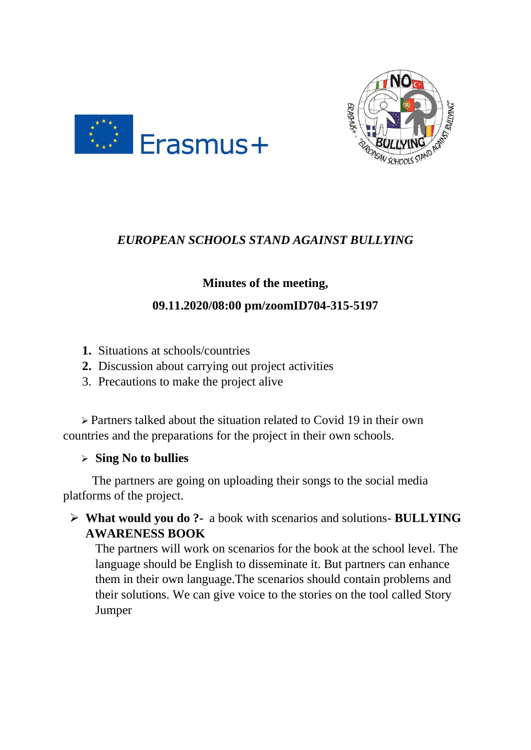



# *EUROPEAN SCHOOLS STAND AGAINST BULLYING*

# **Minutes of the meeting,**

## **09.11.2020/08:00 pm/zoomID704-315-5197**

- **1.** Situations at schools/countries
- **2.** Discussion about carrying out project activities
- 3. Precautions to make the project alive

 ➢ Partners talked about the situation related to Covid 19 in their own countries and the preparations for the project in their own schools.

### ➢ **Sing No to bullies**

 The partners are going on uploading their songs to the social media platforms of the project.

➢ **What would you do ?-** a book with scenarios and solutions- **BULLYING AWARENESS BOOK**

The partners will work on scenarios for the book at the school level. The language should be English to disseminate it. But partners can enhance them in their own language.The scenarios should contain problems and their solutions. We can give voice to the stories on the tool called Story Jumper